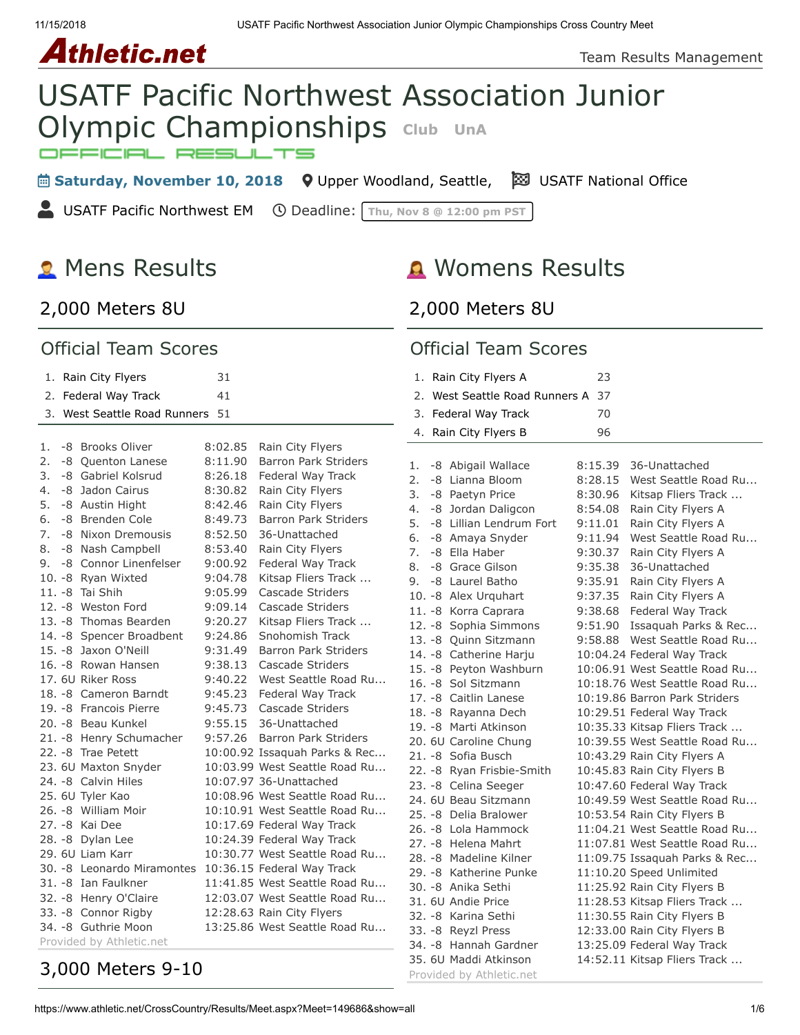# *Athletic.net*

Team Results Management

# USATF Pacific Northwest Association Junior **Olympic Championships** Club UnA

**Examplement Saturday, November 10, 2018** • **Q** [Upper Woodland, Seattle,](https://maps.google.com/maps?saddr=&daddr=Upper%20Woodland,%20,%20Seattle%2098117-5237&hl=en) **Example Saturday, November 10, 2018** • Opper Woodland, Seattle, **Example Saturday**, November 10, 2018

**USATF Pacific Northwest EM O** Deadline: Thu, Nov 8 @ 12:00 pm PST

# **2** Mens Results

# Womens Results

#### [2,000 Meters 8U](https://www.athletic.net/CrossCountry/meet/149686/results/621334)

#### Official Team Scores

#### 1. [Rain City Flyers](https://www.athletic.net/CrossCountry/School.aspx?SchoolID=30070) 31 2. [Federal Way Track](https://www.athletic.net/CrossCountry/School.aspx?SchoolID=29808) 41 3. [West Seattle Road Runners](https://www.athletic.net/CrossCountry/School.aspx?SchoolID=74629) 51 1. -8 Brooks Oliver 8:02.85 Rain City Flyers 2. -8 Quenton Lanese 8:11.90 Barron Park Striders 3. -8 Gabriel Kolsrud 8:26.18 Federal Way Track 4. -8 Jadon Cairus 8:30.82 Rain City Flyers 5. -8 Austin Hight 8:42.46 Rain City Flyers 6. -8 Brenden Cole 8:49.73 Barron Park Striders 7. -8 Nixon Dremousis 8:52.50 36-Unattached 8. -8 Nash Campbell 8:53.40 Rain City Flyers 9. -8 Connor Linenfelser 9:00.92 Federal Way Track 10. -8 Ryan Wixted 9:04.78 Kitsap Fliers Track ... 11. -8 Tai Shih 9:05.99 Cascade Striders 12. -8 Weston Ford 9:09.14 Cascade Striders 13. -8 Thomas Bearden 9:20.27 Kitsap Fliers Track ... 14. -8 Spencer Broadbent 9:24.86 Snohomish Track 15. -8 Jaxon O'Neill 9:31.49 Barron Park Striders 16. -8 Rowan Hansen 9:38.13 Cascade Striders 17. 6U Riker Ross 9:40.22 West Seattle Road Ru... 18. -8 Cameron Barndt 9:45.23 Federal Way Track 19. -8 Francois Pierre 9:45.73 Cascade Striders 20. -8 Beau Kunkel 9:55.15 36-Unattached 21. -8 Henry Schumacher 9:57.26 Barron Park Striders 22. -8 Trae Petett 10:00.92 Issaquah Parks & Rec... 23. 6U Maxton Snyder 10:03.99 West Seattle Road Ru... 24. -8 Calvin Hiles 10:07.97 36-Unattached 25. 6U Tyler Kao 10:08.96 West Seattle Road Ru... 26. -8 William Moir 10:10.91 West Seattle Road Ru... 27. -8 Kai Dee 10:17.69 Federal Way Track 28. -8 Dylan Lee 10:24.39 Federal Way Track 29. 6U Liam Karr 10:30.77 West Seattle Road Ru... 30. -8 Leonardo Miramontes 10:36.15 Federal Way Track 31. -8 Ian Faulkner 11:41.85 West Seattle Road Ru... 32. -8 Henry O'Claire 12:03.07 West Seattle Road Ru... 33. -8 Connor Rigby 12:28.63 Rain City Flyers

# [3,000 Meters 9-10](https://www.athletic.net/CrossCountry/meet/149686/results/621336)

Provided by Athletic.net

#### [2,000 Meters 8U](https://www.athletic.net/CrossCountry/meet/149686/results/621335)

#### Official Team Scores

|    | 1. Rain City Flyers A                                                                                                                                                                                                                                                                                                                                                                                                                                                                                                                                                                                                                                               | 23      |                                                                                                                                                                                                                                                                                                                                                                                                                                                                                                                                                                                                                                                                                                                                                                                         |
|----|---------------------------------------------------------------------------------------------------------------------------------------------------------------------------------------------------------------------------------------------------------------------------------------------------------------------------------------------------------------------------------------------------------------------------------------------------------------------------------------------------------------------------------------------------------------------------------------------------------------------------------------------------------------------|---------|-----------------------------------------------------------------------------------------------------------------------------------------------------------------------------------------------------------------------------------------------------------------------------------------------------------------------------------------------------------------------------------------------------------------------------------------------------------------------------------------------------------------------------------------------------------------------------------------------------------------------------------------------------------------------------------------------------------------------------------------------------------------------------------------|
| 2. | West Seattle Road Runners A                                                                                                                                                                                                                                                                                                                                                                                                                                                                                                                                                                                                                                         | 37      |                                                                                                                                                                                                                                                                                                                                                                                                                                                                                                                                                                                                                                                                                                                                                                                         |
|    | 3. Federal Way Track                                                                                                                                                                                                                                                                                                                                                                                                                                                                                                                                                                                                                                                | 70      |                                                                                                                                                                                                                                                                                                                                                                                                                                                                                                                                                                                                                                                                                                                                                                                         |
|    | 4. Rain City Flyers B                                                                                                                                                                                                                                                                                                                                                                                                                                                                                                                                                                                                                                               | 96      |                                                                                                                                                                                                                                                                                                                                                                                                                                                                                                                                                                                                                                                                                                                                                                                         |
|    |                                                                                                                                                                                                                                                                                                                                                                                                                                                                                                                                                                                                                                                                     |         |                                                                                                                                                                                                                                                                                                                                                                                                                                                                                                                                                                                                                                                                                                                                                                                         |
| 1. | -8 Abigail Wallace                                                                                                                                                                                                                                                                                                                                                                                                                                                                                                                                                                                                                                                  | 8:15.39 | 36-Unattached                                                                                                                                                                                                                                                                                                                                                                                                                                                                                                                                                                                                                                                                                                                                                                           |
| 2. | -8 Lianna Bloom                                                                                                                                                                                                                                                                                                                                                                                                                                                                                                                                                                                                                                                     | 8:28.15 | West Seattle Road Ru                                                                                                                                                                                                                                                                                                                                                                                                                                                                                                                                                                                                                                                                                                                                                                    |
| 3. | -8 Paetyn Price                                                                                                                                                                                                                                                                                                                                                                                                                                                                                                                                                                                                                                                     | 8:30.96 | Kitsap Fliers Track                                                                                                                                                                                                                                                                                                                                                                                                                                                                                                                                                                                                                                                                                                                                                                     |
| 4. | -8 Jordan Daligcon                                                                                                                                                                                                                                                                                                                                                                                                                                                                                                                                                                                                                                                  | 8:54.08 | Rain City Flyers A                                                                                                                                                                                                                                                                                                                                                                                                                                                                                                                                                                                                                                                                                                                                                                      |
| 5. | -8 Lillian Lendrum Fort                                                                                                                                                                                                                                                                                                                                                                                                                                                                                                                                                                                                                                             | 9:11.01 | Rain City Flyers A                                                                                                                                                                                                                                                                                                                                                                                                                                                                                                                                                                                                                                                                                                                                                                      |
| 6. | -8 Amaya Snyder                                                                                                                                                                                                                                                                                                                                                                                                                                                                                                                                                                                                                                                     | 9:11.94 | West Seattle Road Ru                                                                                                                                                                                                                                                                                                                                                                                                                                                                                                                                                                                                                                                                                                                                                                    |
| 7. | -8 Ella Haber                                                                                                                                                                                                                                                                                                                                                                                                                                                                                                                                                                                                                                                       | 9:30.37 | Rain City Flyers A                                                                                                                                                                                                                                                                                                                                                                                                                                                                                                                                                                                                                                                                                                                                                                      |
| 8. | -8 Grace Gilson                                                                                                                                                                                                                                                                                                                                                                                                                                                                                                                                                                                                                                                     | 9:35.38 | 36-Unattached                                                                                                                                                                                                                                                                                                                                                                                                                                                                                                                                                                                                                                                                                                                                                                           |
| 9. | -8 Laurel Batho                                                                                                                                                                                                                                                                                                                                                                                                                                                                                                                                                                                                                                                     | 9:35.91 | Rain City Flyers A                                                                                                                                                                                                                                                                                                                                                                                                                                                                                                                                                                                                                                                                                                                                                                      |
|    | 10. -8 Alex Urquhart                                                                                                                                                                                                                                                                                                                                                                                                                                                                                                                                                                                                                                                | 9:37.35 | Rain City Flyers A                                                                                                                                                                                                                                                                                                                                                                                                                                                                                                                                                                                                                                                                                                                                                                      |
|    |                                                                                                                                                                                                                                                                                                                                                                                                                                                                                                                                                                                                                                                                     | 9:38.68 |                                                                                                                                                                                                                                                                                                                                                                                                                                                                                                                                                                                                                                                                                                                                                                                         |
|    |                                                                                                                                                                                                                                                                                                                                                                                                                                                                                                                                                                                                                                                                     |         |                                                                                                                                                                                                                                                                                                                                                                                                                                                                                                                                                                                                                                                                                                                                                                                         |
|    |                                                                                                                                                                                                                                                                                                                                                                                                                                                                                                                                                                                                                                                                     | 9:58.88 |                                                                                                                                                                                                                                                                                                                                                                                                                                                                                                                                                                                                                                                                                                                                                                                         |
|    |                                                                                                                                                                                                                                                                                                                                                                                                                                                                                                                                                                                                                                                                     |         |                                                                                                                                                                                                                                                                                                                                                                                                                                                                                                                                                                                                                                                                                                                                                                                         |
|    |                                                                                                                                                                                                                                                                                                                                                                                                                                                                                                                                                                                                                                                                     |         |                                                                                                                                                                                                                                                                                                                                                                                                                                                                                                                                                                                                                                                                                                                                                                                         |
|    |                                                                                                                                                                                                                                                                                                                                                                                                                                                                                                                                                                                                                                                                     |         |                                                                                                                                                                                                                                                                                                                                                                                                                                                                                                                                                                                                                                                                                                                                                                                         |
|    |                                                                                                                                                                                                                                                                                                                                                                                                                                                                                                                                                                                                                                                                     |         |                                                                                                                                                                                                                                                                                                                                                                                                                                                                                                                                                                                                                                                                                                                                                                                         |
|    |                                                                                                                                                                                                                                                                                                                                                                                                                                                                                                                                                                                                                                                                     |         |                                                                                                                                                                                                                                                                                                                                                                                                                                                                                                                                                                                                                                                                                                                                                                                         |
|    |                                                                                                                                                                                                                                                                                                                                                                                                                                                                                                                                                                                                                                                                     |         |                                                                                                                                                                                                                                                                                                                                                                                                                                                                                                                                                                                                                                                                                                                                                                                         |
|    |                                                                                                                                                                                                                                                                                                                                                                                                                                                                                                                                                                                                                                                                     |         |                                                                                                                                                                                                                                                                                                                                                                                                                                                                                                                                                                                                                                                                                                                                                                                         |
|    |                                                                                                                                                                                                                                                                                                                                                                                                                                                                                                                                                                                                                                                                     |         |                                                                                                                                                                                                                                                                                                                                                                                                                                                                                                                                                                                                                                                                                                                                                                                         |
|    |                                                                                                                                                                                                                                                                                                                                                                                                                                                                                                                                                                                                                                                                     |         |                                                                                                                                                                                                                                                                                                                                                                                                                                                                                                                                                                                                                                                                                                                                                                                         |
|    |                                                                                                                                                                                                                                                                                                                                                                                                                                                                                                                                                                                                                                                                     |         |                                                                                                                                                                                                                                                                                                                                                                                                                                                                                                                                                                                                                                                                                                                                                                                         |
|    |                                                                                                                                                                                                                                                                                                                                                                                                                                                                                                                                                                                                                                                                     |         |                                                                                                                                                                                                                                                                                                                                                                                                                                                                                                                                                                                                                                                                                                                                                                                         |
|    |                                                                                                                                                                                                                                                                                                                                                                                                                                                                                                                                                                                                                                                                     |         |                                                                                                                                                                                                                                                                                                                                                                                                                                                                                                                                                                                                                                                                                                                                                                                         |
|    |                                                                                                                                                                                                                                                                                                                                                                                                                                                                                                                                                                                                                                                                     |         |                                                                                                                                                                                                                                                                                                                                                                                                                                                                                                                                                                                                                                                                                                                                                                                         |
|    |                                                                                                                                                                                                                                                                                                                                                                                                                                                                                                                                                                                                                                                                     |         |                                                                                                                                                                                                                                                                                                                                                                                                                                                                                                                                                                                                                                                                                                                                                                                         |
|    |                                                                                                                                                                                                                                                                                                                                                                                                                                                                                                                                                                                                                                                                     |         |                                                                                                                                                                                                                                                                                                                                                                                                                                                                                                                                                                                                                                                                                                                                                                                         |
|    |                                                                                                                                                                                                                                                                                                                                                                                                                                                                                                                                                                                                                                                                     |         |                                                                                                                                                                                                                                                                                                                                                                                                                                                                                                                                                                                                                                                                                                                                                                                         |
|    |                                                                                                                                                                                                                                                                                                                                                                                                                                                                                                                                                                                                                                                                     |         |                                                                                                                                                                                                                                                                                                                                                                                                                                                                                                                                                                                                                                                                                                                                                                                         |
|    |                                                                                                                                                                                                                                                                                                                                                                                                                                                                                                                                                                                                                                                                     |         |                                                                                                                                                                                                                                                                                                                                                                                                                                                                                                                                                                                                                                                                                                                                                                                         |
|    |                                                                                                                                                                                                                                                                                                                                                                                                                                                                                                                                                                                                                                                                     |         |                                                                                                                                                                                                                                                                                                                                                                                                                                                                                                                                                                                                                                                                                                                                                                                         |
|    |                                                                                                                                                                                                                                                                                                                                                                                                                                                                                                                                                                                                                                                                     |         |                                                                                                                                                                                                                                                                                                                                                                                                                                                                                                                                                                                                                                                                                                                                                                                         |
|    |                                                                                                                                                                                                                                                                                                                                                                                                                                                                                                                                                                                                                                                                     |         |                                                                                                                                                                                                                                                                                                                                                                                                                                                                                                                                                                                                                                                                                                                                                                                         |
|    |                                                                                                                                                                                                                                                                                                                                                                                                                                                                                                                                                                                                                                                                     |         |                                                                                                                                                                                                                                                                                                                                                                                                                                                                                                                                                                                                                                                                                                                                                                                         |
|    | 11. - 8 Korra Caprara<br>12. - 8 Sophia Simmons<br>13. - 8 Quinn Sitzmann<br>14. -8 Catherine Harju<br>15. - 8 Peyton Washburn<br>16. - 8 Sol Sitzmann<br>17. -8 Caitlin Lanese<br>18. - 8 Rayanna Dech<br>19. - 8 Marti Atkinson<br>20. 6U Caroline Chung<br>21. - 8 Sofia Busch<br>22. -8 Ryan Frisbie-Smith<br>23. -8 Celina Seeger<br>24. 6U Beau Sitzmann<br>25. -8 Delia Bralower<br>26. -8 Lola Hammock<br>27. -8 Helena Mahrt<br>28. -8 Madeline Kilner<br>29. - 8 Katherine Punke<br>30. -8 Anika Sethi<br>31. 6U Andie Price<br>32. - 8 Karina Sethi<br>33. - 8 Reyzl Press<br>34. -8 Hannah Gardner<br>35. 6U Maddi Atkinson<br>Provided by Athletic.net | 9:51.90 | Federal Way Track<br>Issaquah Parks & Rec<br>West Seattle Road Ru<br>10:04.24 Federal Way Track<br>10:06.91 West Seattle Road Ru<br>10:18.76 West Seattle Road Ru<br>10:19.86 Barron Park Striders<br>10:29.51 Federal Way Track<br>10:35.33 Kitsap Fliers Track<br>10:39.55 West Seattle Road Ru<br>10:43.29 Rain City Flyers A<br>10:45.83 Rain City Flyers B<br>10:47.60 Federal Way Track<br>10:49.59 West Seattle Road Ru<br>10:53.54 Rain City Flyers B<br>11:04.21 West Seattle Road Ru<br>11:07.81 West Seattle Road Ru<br>11:09.75 Issaquah Parks & Rec<br>11:10.20 Speed Unlimited<br>11:25.92 Rain City Flyers B<br>11:28.53 Kitsap Fliers Track<br>11:30.55 Rain City Flyers B<br>12:33.00 Rain City Flyers B<br>13:25.09 Federal Way Track<br>14:52.11 Kitsap Fliers Track |

34. -8 Guthrie Moon 13:25.86 West Seattle Road Ru...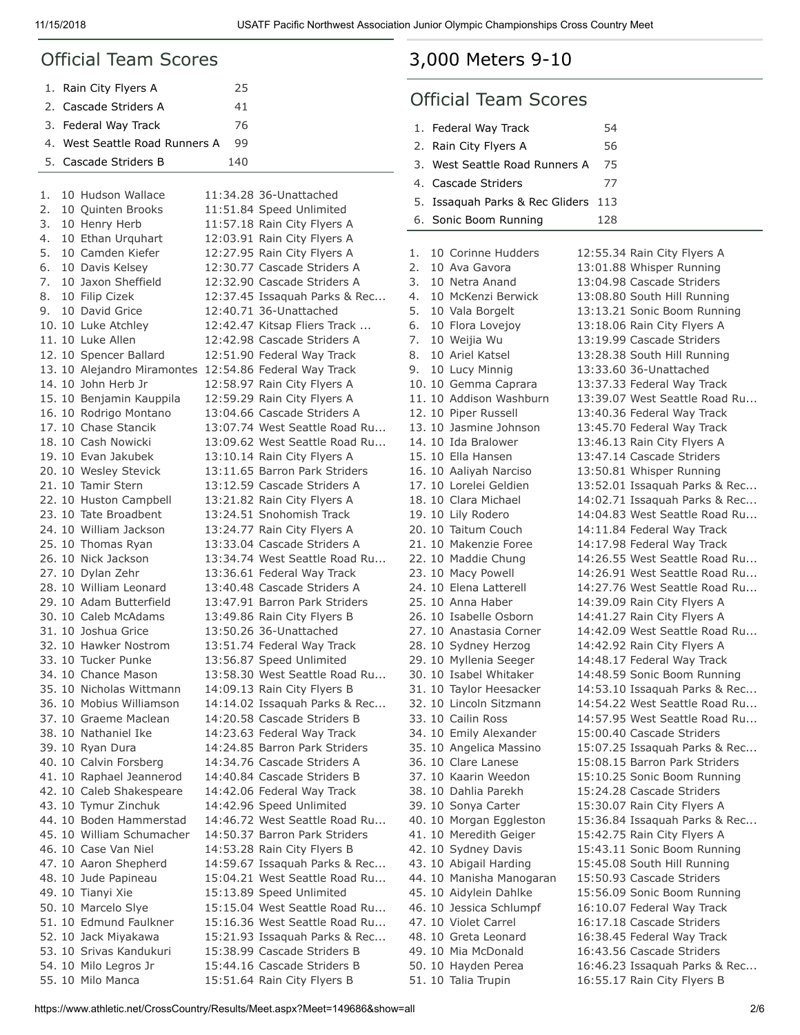#### Official Team Scores

| 1. Rain City Flyers A          | 25  |  |
|--------------------------------|-----|--|
| 2. Cascade Striders A          | 41  |  |
| 3. Federal Way Track           | 76  |  |
| 4. West Seattle Road Runners A | 99  |  |
| 5. Cascade Striders B          | 140 |  |

| 1. | 10 Hudson Wallace           | 11:34.28 36-Unattached        |
|----|-----------------------------|-------------------------------|
| 2. | 10 Quinten Brooks           | 11:51.84 Speed Unlimited      |
| 3. | 10 Henry Herb               | 11:57.18 Rain City Flyers A   |
| 4. | 10 Ethan Urquhart           | 12:03.91 Rain City Flyers A   |
| 5. | 10 Camden Kiefer            | 12:27.95 Rain City Flyers A   |
| 6. | 10 Davis Kelsey             | 12:30.77 Cascade Striders A   |
| 7. | 10 Jaxon Sheffield          | 12:32.90 Cascade Striders A   |
| 8. | 10 Filip Cizek              | 12:37.45 Issaquah Parks & Rec |
| 9. | 10 David Grice              | 12:40.71 36-Unattached        |
|    | 10. 10 Luke Atchley         | 12:42.47 Kitsap Fliers Track  |
|    | 11. 10 Luke Allen           | 12:42.98 Cascade Striders A   |
|    | 12. 10 Spencer Ballard      | 12:51.90 Federal Way Track    |
|    | 13. 10 Alejandro Miramontes | 12:54.86 Federal Way Track    |
|    | 14. 10 John Herb Jr         | 12:58.97 Rain City Flyers A   |
|    | 15. 10 Benjamin Kauppila    | 12:59.29 Rain City Flyers A   |
|    | 16. 10 Rodrigo Montano      | 13:04.66 Cascade Striders A   |
|    | 17. 10 Chase Stancik        | 13:07.74 West Seattle Road Ru |
|    | 18. 10 Cash Nowicki         | 13:09.62 West Seattle Road Ru |
|    | 19. 10 Evan Jakubek         | 13:10.14 Rain City Flyers A   |
|    | 20. 10 Wesley Stevick       | 13:11.65 Barron Park Striders |
|    | 21. 10 Tamir Stern          | 13:12.59 Cascade Striders A   |
|    | 22. 10 Huston Campbell      | 13:21.82 Rain City Flyers A   |
|    | 23. 10 Tate Broadbent       | 13:24.51 Snohomish Track      |
|    | 24. 10 William Jackson      | 13:24.77 Rain City Flyers A   |
|    | 25. 10 Thomas Ryan          | 13:33.04 Cascade Striders A   |
|    | 26. 10 Nick Jackson         | 13:34.74 West Seattle Road Ru |
|    | 27. 10 Dylan Zehr           | 13:36.61 Federal Way Track    |
|    | 28. 10 William Leonard      | 13:40.48 Cascade Striders A   |
|    | 29. 10 Adam Butterfield     | 13:47.91 Barron Park Striders |
|    | 30. 10 Caleb McAdams        | 13:49.86 Rain City Flyers B   |
|    | 31. 10 Joshua Grice         | 13:50.26 36-Unattached        |
|    | 32. 10 Hawker Nostrom       | 13:51.74 Federal Way Track    |
|    | 33. 10 Tucker Punke         | 13:56.87 Speed Unlimited      |
|    | 34. 10 Chance Mason         | 13:58.30 West Seattle Road Ru |
|    | 35. 10 Nicholas Wittmann    | 14:09.13 Rain City Flyers B   |
|    | 36. 10 Mobius Williamson    | 14:14.02 Issaquah Parks & Rec |
|    | 37. 10 Graeme Maclean       | 14:20.58 Cascade Striders B   |
|    | 38, 10 Nathaniel Ike        | 14:23.63 Federal Way Track    |
|    | 39. 10 Ryan Dura            | 14:24.85 Barron Park Striders |
|    | 40. 10 Calvin Forsberg      | 14:34.76 Cascade Striders A   |
|    | 41. 10 Raphael Jeannerod    | 14:40.84 Cascade Striders B   |
|    | 42. 10 Caleb Shakespeare    | 14:42.06 Federal Way Track    |
|    | 43. 10 Tymur Zinchuk        | 14:42.96 Speed Unlimited      |
|    | 44. 10 Boden Hammerstad     | 14:46.72 West Seattle Road Ru |
|    | 45. 10 William Schumacher   | 14:50.37 Barron Park Striders |
|    | 46. 10 Case Van Niel        | 14:53.28 Rain City Flyers B   |
|    | 47. 10 Aaron Shepherd       | 14:59.67 Issaquah Parks & Rec |
|    | 48. 10 Jude Papineau        | 15:04.21 West Seattle Road Ru |
|    |                             |                               |
|    | 49. 10 Tianyi Xie           | 15:13.89 Speed Unlimited      |
|    | 50. 10 Marcelo Slye         | 15:15.04 West Seattle Road Ru |
|    | 51. 10 Edmund Faulkner      | 15:16.36 West Seattle Road Ru |
|    | 52. 10 Jack Miyakawa        | 15:21.93 Issaquah Parks & Rec |
|    | 53. 10 Srivas Kandukuri     | 15:38.99 Cascade Striders B   |
|    | 54. 10 Milo Legros Jr       | 15:44.16 Cascade Striders B   |
|    | 55. 10 Milo Manca           | 15:51.64 Rain City Flyers B   |

# [3,000 Meters 9-10](https://www.athletic.net/CrossCountry/meet/149686/results/621337)

#### Official Team Scores

| 1. Federal Way Track                | 54  |
|-------------------------------------|-----|
| 2. Rain City Flyers A               | 56  |
| 3. West Seattle Road Runners A      | 75  |
| 4. Cascade Striders                 | 77  |
| 5. Issaguah Parks & Rec Gliders 113 |     |
| 6. Sonic Boom Running               | 128 |

1. 10 Corinne Hudders 12:55.34 Rain City Flyers A 2. 10 Ava Gavora 13:01.88 Whisper Running 3. 10 Netra Anand 13:04.98 Cascade Striders 4. 10 McKenzi Berwick 13:08.80 South Hill Running 5. 10 Vala Borgelt 13:13.21 Sonic Boom Running 6. 10 Flora Lovejoy 13:18.06 Rain City Flyers A 7. 10 Weijia Wu 13:19.99 Cascade Striders 8. 10 Ariel Katsel 13:28.38 South Hill Running 9. 10 Lucy Minnig 13:33.60 36-Unattached 10. 10 Gemma Caprara 13:37.33 Federal Way Track 11. 10 Addison Washburn 13:39.07 West Seattle Road Ru... 12. 10 Piper Russell 13:40.36 Federal Way Track 13. 10 Jasmine Johnson 13:45.70 Federal Way Track 14. 10 Ida Bralower 13:46.13 Rain City Flyers A 15. 10 Ella Hansen 13:47.14 Cascade Striders 16. 10 Aaliyah Narciso 13:50.81 Whisper Running 17. 10 Lorelei Geldien 13:52.01 Issaquah Parks & Rec... 18. 10 Clara Michael 14:02.71 Issaquah Parks & Rec... 19. 10 Lily Rodero 14:04.83 West Seattle Road Ru... 20. 10 Taitum Couch 14:11.84 Federal Way Track 21. 10 Makenzie Foree 14:17.98 Federal Way Track 22. 10 Maddie Chung 14:26.55 West Seattle Road Ru... 23. 10 Macy Powell 14:26.91 West Seattle Road Ru... 24. 10 Elena Latterell 14:27.76 West Seattle Road Ru... 25. 10 Anna Haber 14:39.09 Rain City Flyers A 26. 10 Isabelle Osborn 14:41.27 Rain City Flyers A 27. 10 Anastasia Corner 14:42.09 West Seattle Road Ru... 28. 10 Sydney Herzog 14:42.92 Rain City Flyers A 29. 10 Myllenia Seeger 14:48.17 Federal Way Track 30. 10 Isabel Whitaker 14:48.59 Sonic Boom Running 31. 10 Taylor Heesacker 14:53.10 Issaquah Parks & Rec... 32. 10 Lincoln Sitzmann 14:54.22 West Seattle Road Ru... 33. 10 Cailin Ross 14:57.95 West Seattle Road Ru... 34. 10 Emily Alexander 15:00.40 Cascade Striders 35. 10 Angelica Massino 15:07.25 Issaquah Parks & Rec... 36. 10 Clare Lanese 15:08.15 Barron Park Striders 37. 10 Kaarin Weedon 15:10.25 Sonic Boom Running 38. 10 Dahlia Parekh 15:24.28 Cascade Striders 39. 10 Sonya Carter 15:30.07 Rain City Flyers A 40. 10 Morgan Eggleston 15:36.84 Issaquah Parks & Rec... 41. 10 Meredith Geiger 15:42.75 Rain City Flyers A 42. 10 Sydney Davis 15:43.11 Sonic Boom Running 43. 10 Abigail Harding 15:45.08 South Hill Running 44. 10 Manisha Manogaran 15:50.93 Cascade Striders 45. 10 Aidylein Dahlke 15:56.09 Sonic Boom Running 46. 10 Jessica Schlumpf 16:10.07 Federal Way Track 47. 10 Violet Carrel 16:17.18 Cascade Striders 48. 10 Greta Leonard 16:38.45 Federal Way Track 49. 10 Mia McDonald 16:43.56 Cascade Striders 50. 10 Hayden Perea 16:46.23 Issaquah Parks & Rec...

51. 10 Talia Trupin 16:55.17 Rain City Flyers B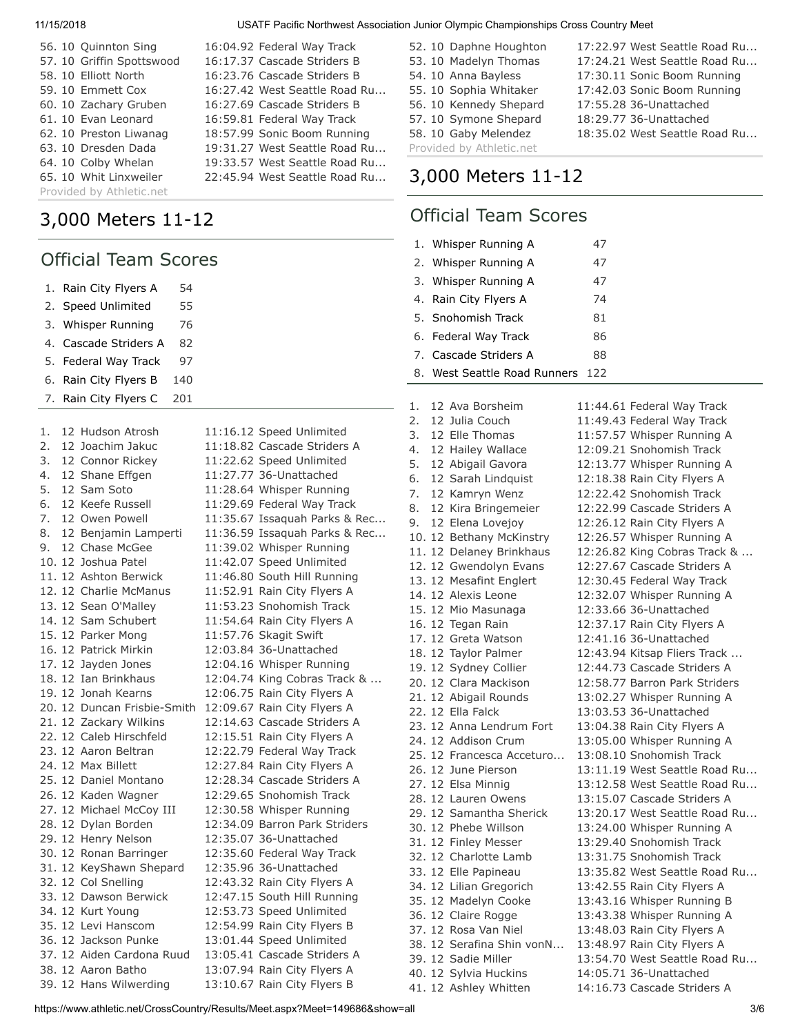| 56. 10 Quinnton Sing      | 16:04.92 Federal Way Track    |
|---------------------------|-------------------------------|
| 57. 10 Griffin Spottswood | 16:17.37 Cascade Striders B   |
| 58. 10 Elliott North      | 16:23.76 Cascade Striders B   |
| 59.10 Emmett Cox          | 16:27.42 West Seattle Road Ru |
| 60. 10 Zachary Gruben     | 16:27.69 Cascade Striders B   |
| 61. 10 Evan Leonard       | 16:59.81 Federal Way Track    |
| 62. 10 Preston Liwanag    | 18:57.99 Sonic Boom Running   |
| 63. 10 Dresden Dada       | 19:31.27 West Seattle Road Ru |
| 64. 10 Colby Whelan       | 19:33.57 West Seattle Road Ru |
| 65. 10 Whit Linxweiler    | 22:45.94 West Seattle Road Ru |
| Provided by Athletic.net  |                               |
|                           |                               |

# [3,000 Meters 11-12](https://www.athletic.net/CrossCountry/meet/149686/results/621338)

#### Official Team Scores

| 1. | Rain City Flyers A<br>54    |                             |
|----|-----------------------------|-----------------------------|
| 2. | Speed Unlimited<br>55       |                             |
| 3. | 76<br>Whisper Running       |                             |
| 4. | Cascade Striders A<br>82    |                             |
| 5. | Federal Way Track<br>97     |                             |
| 6. | 140<br>Rain City Flyers B   |                             |
| 7. | 201<br>Rain City Flyers C   |                             |
|    |                             |                             |
| 1. | 12 Hudson Atrosh            | 11:16.12 Speed Unlimited    |
| 2. | 12 Joachim Jakuc            | 11:18.82 Cascade Striders   |
| 3. | 12 Connor Rickey            | 11:22.62 Speed Unlimited    |
| 4. | 12 Shane Effgen             | 11:27.77 36-Unattached      |
| 5. | 12 Sam Soto                 | 11:28.64 Whisper Running    |
| 6. | 12 Keefe Russell            | 11:29.69 Federal Way Track  |
| 7. | 12 Owen Powell              | 11:35.67 Issaquah Parks &   |
| 8. | 12 Benjamin Lamperti        | 11:36.59 Issaquah Parks &   |
| 9. | 12 Chase McGee              | 11:39.02 Whisper Running    |
|    | 10. 12 Joshua Patel         |                             |
|    | 11. 12 Ashton Berwick       | 11:42.07 Speed Unlimited    |
|    |                             | 11:46.80 South Hill Running |
|    | 12. 12 Charlie McManus      | 11:52.91 Rain City Flyers A |
|    | 13. 12 Sean O'Malley        | 11:53.23 Snohomish Track    |
|    | 14. 12 Sam Schubert         | 11:54.64 Rain City Flyers A |
|    | 15. 12 Parker Mong          | 11:57.76 Skagit Swift       |
|    | 16. 12 Patrick Mirkin       | 12:03.84 36-Unattached      |
|    | 17. 12 Jayden Jones         | 12:04.16 Whisper Running    |
|    | 18. 12 Ian Brinkhaus        | 12:04.74 King Cobras Track  |
|    | 19. 12 Jonah Kearns         | 12:06.75 Rain City Flyers A |
|    | 20. 12 Duncan Frisbie-Smith | 12:09.67 Rain City Flyers A |
|    | 21. 12 Zackary Wilkins      | 12:14.63 Cascade Striders   |
|    | 22. 12 Caleb Hirschfeld     | 12:15.51 Rain City Flyers A |
|    | 23. 12 Aaron Beltran        | 12:22.79 Federal Way Track  |
|    | 24. 12 Max Billett          | 12:27.84 Rain City Flyers A |
|    | 25. 12 Daniel Montano       | 12:28.34 Cascade Striders   |
|    | 26. 12 Kaden Wagner         | 12:29.65 Snohomish Track    |
|    | 27. 12 Michael McCoy III    | 12:30.58 Whisper Running    |
|    | 28. 12 Dylan Borden         | 12:34.09 Barron Park Stride |
|    | 29. 12 Henry Nelson         | 12:35.07 36-Unattached      |
|    | 30. 12 Ronan Barringer      | 12:35.60 Federal Way Track  |
|    | 31. 12 KeyShawn Shepard     | 12:35.96 36-Unattached      |
|    | 32. 12 Col Snelling         | 12:43.32 Rain City Flyers A |
|    | 33. 12 Dawson Berwick       | 12:47.15 South Hill Running |
|    | 34. 12 Kurt Young           | 12:53.73 Speed Unlimited    |
|    | 35. 12 Levi Hanscom         | 12:54.99 Rain City Flyers B |
|    | 36. 12 Jackson Punke        | 13:01.44 Speed Unlimited    |
|    | 37. 12 Aiden Cardona Ruud   | 13:05.41 Cascade Striders   |
|    | 38. 12 Aaron Batho          | 13:07.94 Rain City Flyers A |
|    | 39. 12 Hans Wilwerding      | 13:10.67 Rain City Flyers B |
|    |                             |                             |

| 52. 10 Daphne Houghton   | 17:22.97 West Seattle Road Ru |
|--------------------------|-------------------------------|
| 53. 10 Madelyn Thomas    | 17:24.21 West Seattle Road Ru |
| 54. 10 Anna Bayless      | 17:30.11 Sonic Boom Running   |
| 55. 10 Sophia Whitaker   | 17:42.03 Sonic Boom Running   |
| 56. 10 Kennedy Shepard   | 17:55.28 36-Unattached        |
| 57. 10 Symone Shepard    | 18:29.77 36-Unattached        |
| 58. 10 Gaby Melendez     | 18:35.02 West Seattle Road Ru |
| Provided by Athletic.net |                               |

#### [3,000 Meters 11-12](https://www.athletic.net/CrossCountry/meet/149686/results/621339)

#### Official Team Scores

|                   |          | 1. Whisper Running A             | 47 |                               |
|-------------------|----------|----------------------------------|----|-------------------------------|
|                   |          | 2. Whisper Running A             | 47 |                               |
|                   |          | 3. Whisper Running A             | 47 |                               |
|                   |          | 4. Rain City Flyers A            | 74 |                               |
|                   |          | 5. Snohomish Track               | 81 |                               |
|                   |          | 6. Federal Way Track             | 86 |                               |
|                   |          | 7. Cascade Striders A            | 88 |                               |
|                   |          |                                  |    |                               |
|                   |          | 8. West Seattle Road Runners 122 |    |                               |
|                   |          |                                  |    |                               |
|                   | 1.       | 12 Ava Borsheim                  |    | 11:44.61 Federal Way Track    |
| ed Unlimited      | 2.<br>3. | 12 Julia Couch<br>12 Elle Thomas |    | 11:49.43 Federal Way Track    |
| ade Striders A    |          |                                  |    | 11:57.57 Whisper Running A    |
| ed Unlimited      | 4.       | 12 Hailey Wallace                |    | 12:09.21 Snohomish Track      |
| Inattached        | 5.       | 12 Abigail Gavora                |    | 12:13.77 Whisper Running A    |
|                   | 6.       | 12 Sarah Lindquist               |    | 12:18.38 Rain City Flyers A   |
| sper Running      | 7.       | 12 Kamryn Wenz                   |    | 12:22.42 Snohomish Track      |
| ral Way Track     | 8.       | 12 Kira Bringemeier              |    | 12:22.99 Cascade Striders A   |
| quah Parks & Rec  | 9.       | 12 Elena Lovejoy                 |    | 12:26.12 Rain City Flyers A   |
| quah Parks & Rec  |          | 10. 12 Bethany McKinstry         |    | 12:26.57 Whisper Running A    |
| sper Running      |          | 11. 12 Delaney Brinkhaus         |    | 12:26.82 King Cobras Track &  |
| ed Unlimited      |          | 12. 12 Gwendolyn Evans           |    | 12:27.67 Cascade Striders A   |
| h Hill Running:   |          | 13. 12 Mesafint Englert          |    | 12:30.45 Federal Way Track    |
| City Flyers A     |          | 14. 12 Alexis Leone              |    | 12:32.07 Whisper Running A    |
| nomish Track      |          | 15. 12 Mio Masunaga              |    | 12:33.66 36-Unattached        |
| City Flyers A     |          | 16. 12 Tegan Rain                |    | 12:37.17 Rain City Flyers A   |
| jit Swift         |          | 17. 12 Greta Watson              |    | 12:41.16 36-Unattached        |
| <b>Inattached</b> |          | 18. 12 Taylor Palmer             |    | 12:43.94 Kitsap Fliers Track  |
| sper Running      |          |                                  |    | 12:44.73 Cascade Striders A   |
| Cobras Track &    |          | 19. 12 Sydney Collier            |    |                               |
| City Flyers A     |          | 20. 12 Clara Mackison            |    | 12:58.77 Barron Park Striders |
| City Flyers A     |          | 21. 12 Abigail Rounds            |    | 13:02.27 Whisper Running A    |
| ade Striders A    |          | 22. 12 Ella Falck                |    | 13:03.53 36-Unattached        |
|                   |          | 23. 12 Anna Lendrum Fort         |    | 13:04.38 Rain City Flyers A   |
| City Flyers A     |          | 24. 12 Addison Crum              |    | 13:05.00 Whisper Running A    |
| ral Way Track     |          | 25. 12 Francesca Acceturo        |    | 13:08.10 Snohomish Track      |
| City Flyers A     |          | 26. 12 June Pierson              |    | 13:11.19 West Seattle Road Ru |
| ade Striders A:   |          | 27. 12 Elsa Minnig               |    | 13:12.58 West Seattle Road Ru |
| nomish Track      |          | 28. 12 Lauren Owens              |    | 13:15.07 Cascade Striders A   |
| sper Running      |          | 29. 12 Samantha Sherick          |    | 13:20.17 West Seattle Road Ru |
| on Park Striders  |          | 30. 12 Phebe Willson             |    | 13:24.00 Whisper Running A    |
| <b>Inattached</b> |          | 31. 12 Finley Messer             |    | 13:29.40 Snohomish Track      |
| ral Way Track     |          | 32. 12 Charlotte Lamb            |    | 13:31.75 Snohomish Track      |
| <b>Inattached</b> |          | 33. 12 Elle Papineau             |    | 13:35.82 West Seattle Road Ru |
| City Flyers A     |          | 34. 12 Lilian Gregorich          |    | 13:42.55 Rain City Flyers A   |
| h Hill Running:   |          |                                  |    | 13:43.16 Whisper Running B    |
| ed Unlimited      |          | 35. 12 Madelyn Cooke             |    |                               |
| City Flyers B     |          | 36. 12 Claire Rogge              |    | 13:43.38 Whisper Running A    |
| ed Unlimited      |          | 37. 12 Rosa Van Niel             |    | 13:48.03 Rain City Flyers A   |
| ade Striders A    |          | 38. 12 Serafina Shin vonN        |    | 13:48.97 Rain City Flyers A   |
|                   |          | 39. 12 Sadie Miller              |    | 13:54.70 West Seattle Road Ru |
| City Flyers A     |          | 40. 12 Sylvia Huckins            |    | 14:05.71 36-Unattached        |

41. 12 Ashley Whitten 14:16.73 Cascade Striders A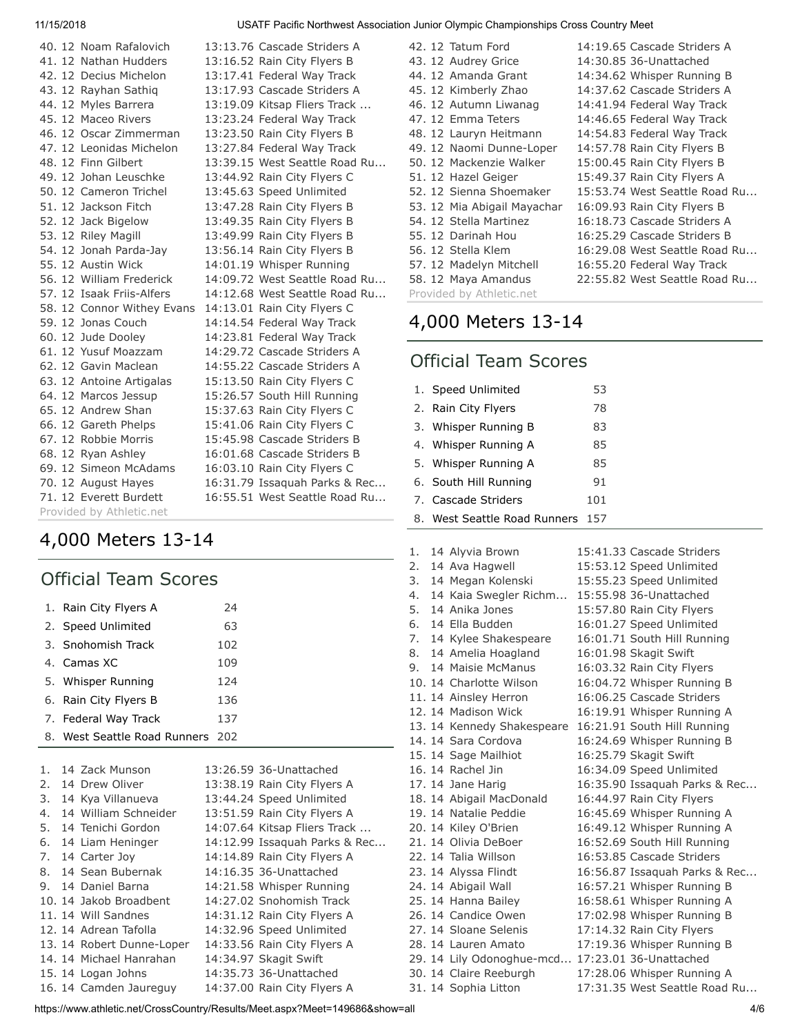|  | 40. 12 Noam Rafalovich<br>41. 12 Nathan Hudders<br>42. 12 Decius Michelon | 13:13.76 Cascade Striders A<br>13:16.52 Rain City Flyers B<br>13:17.41 Federal Way Track |
|--|---------------------------------------------------------------------------|------------------------------------------------------------------------------------------|
|  | 43. 12 Rayhan Sathiq                                                      | 13:17.93 Cascade Striders A                                                              |
|  | 44. 12 Myles Barrera                                                      | 13:19.09 Kitsap Fliers Track                                                             |
|  | 45. 12 Maceo Rivers                                                       | 13:23.24 Federal Way Track                                                               |
|  | 46.12 Oscar Zimmerman                                                     | 13:23.50 Rain City Flyers B                                                              |
|  | 47. 12 Leonidas Michelon                                                  | 13:27.84 Federal Way Track                                                               |
|  | 48. 12 Finn Gilbert                                                       | 13:39.15 West Seattle Road Ru                                                            |
|  | 49. 12 Johan Leuschke                                                     | 13:44.92 Rain City Flyers C                                                              |
|  | 50. 12 Cameron Trichel                                                    | 13:45.63 Speed Unlimited                                                                 |
|  | 51. 12 Jackson Fitch                                                      | 13:47.28 Rain City Flyers B                                                              |
|  | 52. 12 Jack Bigelow                                                       | 13:49.35 Rain City Flyers B                                                              |
|  | 53. 12 Riley Magill                                                       | 13:49.99 Rain City Flyers B                                                              |
|  | 54. 12 Jonah Parda-Jay                                                    | 13:56.14 Rain City Flyers B                                                              |
|  | 55. 12 Austin Wick                                                        | 14:01.19 Whisper Running                                                                 |
|  | 56, 12 William Frederick                                                  | 14:09.72 West Seattle Road Ru                                                            |
|  | 57. 12 Isaak Friis-Alfers                                                 | 14:12.68 West Seattle Road Ru                                                            |
|  | 58. 12 Connor Withey Evans                                                | 14:13.01 Rain City Flyers C                                                              |
|  | 59. 12 Jonas Couch                                                        | 14:14.54 Federal Way Track                                                               |
|  | 60. 12 Jude Dooley                                                        | 14:23.81 Federal Way Track                                                               |
|  | 61. 12 Yusuf Moazzam                                                      | 14:29.72 Cascade Striders A                                                              |
|  | 62. 12 Gavin Maclean                                                      | 14:55.22 Cascade Striders A                                                              |
|  | 63. 12 Antoine Artigalas                                                  | 15:13.50 Rain City Flyers C                                                              |
|  | 64. 12 Marcos Jessup                                                      | 15:26.57 South Hill Running                                                              |
|  | 65, 12 Andrew Shan                                                        | 15:37.63 Rain City Flyers C                                                              |
|  | 66. 12 Gareth Phelps                                                      | 15:41.06 Rain City Flyers C                                                              |
|  | 67. 12 Robbie Morris                                                      | 15:45.98 Cascade Striders B                                                              |
|  | 68. 12 Ryan Ashley                                                        | 16:01.68 Cascade Striders B                                                              |
|  | 69. 12 Simeon McAdams                                                     | 16:03.10 Rain City Flyers C                                                              |
|  | 70. 12 August Hayes                                                       | 16:31.79 Issaquah Parks & Rec                                                            |
|  | 71. 12 Everett Burdett                                                    | 16:55.51 West Seattle Road Ru                                                            |
|  | Provided by Athletic.net                                                  |                                                                                          |

## [4,000 Meters 13-14](https://www.athletic.net/CrossCountry/meet/149686/results/621340)

|    | <b>Official Team Scores</b>  |     |                               |  |  |  |  |
|----|------------------------------|-----|-------------------------------|--|--|--|--|
|    | 1. Rain City Flyers A        | 24  |                               |  |  |  |  |
|    | 2. Speed Unlimited           | 63  |                               |  |  |  |  |
|    | 3. Snohomish Track           | 102 |                               |  |  |  |  |
|    | 4. Camas XC                  | 109 |                               |  |  |  |  |
|    | 5. Whisper Running           | 124 |                               |  |  |  |  |
|    | 6. Rain City Flyers B        | 136 |                               |  |  |  |  |
|    | 7. Federal Way Track         | 137 |                               |  |  |  |  |
|    | 8. West Seattle Road Runners | 202 |                               |  |  |  |  |
|    |                              |     |                               |  |  |  |  |
|    | 1. 14 Zack Munson            |     | 13:26.59 36-Unattached        |  |  |  |  |
|    | 2. 14 Drew Oliver            |     | 13:38.19 Rain City Flyers A   |  |  |  |  |
|    | 3. 14 Kya Villanueva         |     | 13:44.24 Speed Unlimited      |  |  |  |  |
|    | 4. 14 William Schneider      |     | 13:51.59 Rain City Flyers A   |  |  |  |  |
|    | 5. 14 Tenichi Gordon         |     | 14:07.64 Kitsap Fliers Track  |  |  |  |  |
|    | 6. 14 Liam Heninger          |     | 14:12.99 Issaquah Parks & Rec |  |  |  |  |
|    | 7. 14 Carter Joy             |     | 14:14.89 Rain City Flyers A   |  |  |  |  |
|    | 8. 14 Sean Bubernak          |     | 14:16.35 36-Unattached        |  |  |  |  |
| 9. | 14 Daniel Barna              |     | 14:21.58 Whisper Running      |  |  |  |  |

| 42. 12 Tatum Ford           | 14:19.65 Cascade Striders A   |
|-----------------------------|-------------------------------|
| 43. 12 Audrey Grice         | 14:30.85 36-Unattached        |
| 44. 12 Amanda Grant         | 14:34.62 Whisper Running B    |
| 45. 12 Kimberly Zhao        | 14:37.62 Cascade Striders A   |
| 46. 12 Autumn Liwanag       | 14:41.94 Federal Way Track    |
| 47. 12 Emma Teters          | 14:46.65 Federal Way Track    |
| 48. 12 Lauryn Heitmann      | 14:54.83 Federal Way Track    |
| 49. 12 Naomi Dunne-Loper    | 14:57.78 Rain City Flyers B   |
| 50. 12 Mackenzie Walker     | 15:00.45 Rain City Flyers B   |
| 51. 12 Hazel Geiger         | 15:49.37 Rain City Flyers A   |
| 52. 12 Sienna Shoemaker     | 15:53.74 West Seattle Road Ru |
| 53. 12 Mia Abigail Mayachar | 16:09.93 Rain City Flyers B   |
| 54. 12 Stella Martinez      | 16:18.73 Cascade Striders A   |
| 55. 12 Darinah Hou          | 16:25.29 Cascade Striders B   |
| 56. 12 Stella Klem          | 16:29.08 West Seattle Road Ru |
| 57. 12 Madelyn Mitchell     | 16:55.20 Federal Way Track    |
| 58. 12 Maya Amandus         | 22:55.82 West Seattle Road Ru |
| Provided by Athletic.net    |                               |

## [4,000 Meters 13-14](https://www.athletic.net/CrossCountry/meet/149686/results/621341)

# Official Team Scores

| 1. Speed Unlimited               | 53  |
|----------------------------------|-----|
| 2. Rain City Flyers              | 78  |
| 3. Whisper Running B             | 83  |
| 4. Whisper Running A             | 85  |
| 5. Whisper Running A             | 85  |
| 6. South Hill Running            | 91  |
| 7. Cascade Striders              | 101 |
| 8. West Seattle Road Runners 157 |     |

| 1. | 14 Alyvia Brown            | 15:41.33 Cascade Striders     |
|----|----------------------------|-------------------------------|
| 2. | 14 Ava Hagwell             | 15:53.12 Speed Unlimited      |
| 3. | 14 Megan Kolenski          | 15:55.23 Speed Unlimited      |
| 4. | 14 Kaia Swegler Richm      | 15:55.98 36-Unattached        |
| 5. | 14 Anika Jones             | 15:57.80 Rain City Flyers     |
| 6. | 14 Ella Budden             | 16:01.27 Speed Unlimited      |
| 7. | 14 Kylee Shakespeare       | 16:01.71 South Hill Running   |
| 8. | 14 Amelia Hoagland         | 16:01.98 Skagit Swift         |
| 9. | 14 Maisie McManus          | 16:03.32 Rain City Flyers     |
|    | 10. 14 Charlotte Wilson    | 16:04.72 Whisper Running B    |
|    | 11. 14 Ainsley Herron      | 16:06.25 Cascade Striders     |
|    | 12. 14 Madison Wick        | 16:19.91 Whisper Running A    |
|    | 13. 14 Kennedy Shakespeare | 16:21.91 South Hill Running   |
|    | 14. 14 Sara Cordova        | 16:24.69 Whisper Running B    |
|    | 15. 14 Sage Mailhiot       | 16:25.79 Skagit Swift         |
|    | 16. 14 Rachel Jin          | 16:34.09 Speed Unlimited      |
|    | 17. 14 Jane Harig          | 16:35.90 Issaquah Parks & Rec |
|    | 18. 14 Abigail MacDonald   | 16:44.97 Rain City Flyers     |
|    | 19. 14 Natalie Peddie      | 16:45.69 Whisper Running A    |
|    | 20. 14 Kiley O'Brien       | 16:49.12 Whisper Running A    |
|    | 21. 14 Olivia DeBoer       | 16:52.69 South Hill Running   |
|    | 22. 14 Talia Willson       | 16:53.85 Cascade Striders     |
|    | 23. 14 Alyssa Flindt       | 16:56.87 Issaquah Parks & Rec |
|    | 24. 14 Abigail Wall        | 16:57.21 Whisper Running B    |
|    | 25. 14 Hanna Bailey        | 16:58.61 Whisper Running A    |
|    | 26. 14 Candice Owen        | 17:02.98 Whisper Running B    |
|    | 27, 14 Sloane Selenis      | 17:14.32 Rain City Flyers     |
|    | 28. 14 Lauren Amato        | 17:19.36 Whisper Running B    |
|    | 29. 14 Lily Odonoghue-mcd  | 17:23.01 36-Unattached        |
|    | 30. 14 Claire Reeburgh     | 17:28.06 Whisper Running A    |
|    | 31. 14 Sophia Litton       | 17:31.35 West Seattle Road Ru |

https://www.athletic.net/CrossCountry/Results/Meet.aspx?Meet=149686&show=all 4/6

10. 14 Jakob Broadbent 14:27.02 Snohomish Track 11. 14 Will Sandnes 14:31.12 Rain City Flyers A 12. 14 Adrean Tafolla 14:32.96 Speed Unlimited 13. 14 Robert Dunne-Loper 14:33.56 Rain City Flyers A 14. 14 Michael Hanrahan 14:34.97 Skagit Swift 15. 14 Logan Johns 14:35.73 36-Unattached 16. 14 Camden Jaureguy 14:37.00 Rain City Flyers A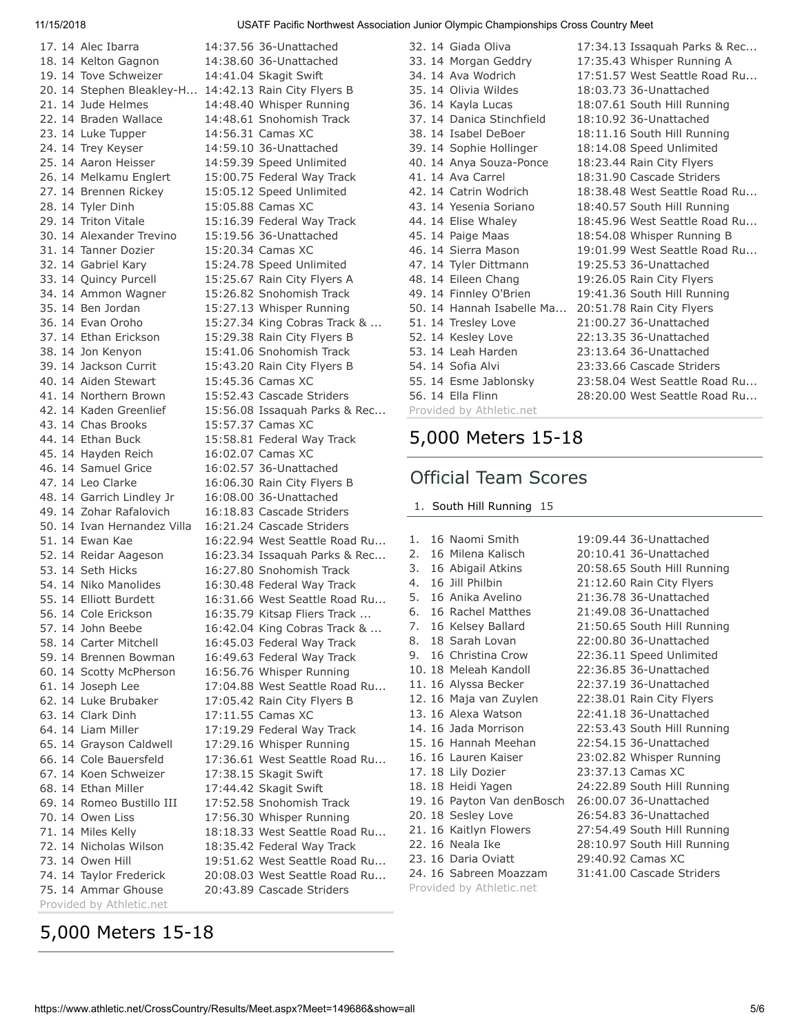17. 14 Alec Ibarra 14:37.56 36-Unattached 18. 14 Kelton Gagnon 14:38.60 36-Unattached 19. 14 Tove Schweizer 14:41.04 Skagit Swift 20. 14 Stephen Bleakley-H... 14:42.13 Rain City Flyers B 21. 14 Jude Helmes 14:48.40 Whisper Running 22. 14 Braden Wallace 14:48.61 Snohomish Track 23. 14 Luke Tupper 14:56.31 Camas XC 24. 14 Trey Keyser 14:59.10 36-Unattached 25. 14 Aaron Heisser 14:59.39 Speed Unlimited 26. 14 Melkamu Englert 15:00.75 Federal Way Track 27. 14 Brennen Rickey 15:05.12 Speed Unlimited 28. 14 Tyler Dinh 15:05.88 Camas XC 29. 14 Triton Vitale 15:16.39 Federal Way Track 30. 14 Alexander Trevino 15:19.56 36-Unattached 31. 14 Tanner Dozier 15:20.34 Camas XC 32. 14 Gabriel Kary 15:24.78 Speed Unlimited 33. 14 Quincy Purcell 15:25.67 Rain City Flyers A 34. 14 Ammon Wagner 15:26.82 Snohomish Track 35. 14 Ben Jordan 15:27.13 Whisper Running 37. 14 Ethan Erickson 15:29.38 Rain City Flyers B 38. 14 Jon Kenyon 15:41.06 Snohomish Track 39. 14 Jackson Currit 15:43.20 Rain City Flyers B 40. 14 Aiden Stewart 15:45.36 Camas XC 41. 14 Northern Brown 15:52.43 Cascade Striders 43. 14 Chas Brooks 15:57.37 Camas XC 44. 14 Ethan Buck 15:58.81 Federal Way Track 45. 14 Hayden Reich 16:02.07 Camas XC 46. 14 Samuel Grice 16:02.57 36-Unattached 47. 14 Leo Clarke 16:06.30 Rain City Flyers B 48. 14 Garrich Lindley Jr 16:08.00 36-Unattached 49. 14 Zohar Rafalovich 16:18.83 Cascade Striders 50. 14 Ivan Hernandez Villa 16:21.24 Cascade Striders 53. 14 Seth Hicks 16:27.80 Snohomish Track 54. 14 Niko Manolides 16:30.48 Federal Way Track 58. 14 Carter Mitchell 16:45.03 Federal Way Track 59. 14 Brennen Bowman 16:49.63 Federal Way Track 60. 14 Scotty McPherson 16:56.76 Whisper Running 62. 14 Luke Brubaker 17:05.42 Rain City Flyers B 63. 14 Clark Dinh 17:11.55 Camas XC 64. 14 Liam Miller 17:19.29 Federal Way Track 65. 14 Grayson Caldwell 17:29.16 Whisper Running 67. 14 Koen Schweizer 17:38.15 Skagit Swift 68. 14 Ethan Miller 17:44.42 Skagit Swift 69. 14 Romeo Bustillo III 17:52.58 Snohomish Track 70. 14 Owen Liss 17:56.30 Whisper Running 72. 14 Nicholas Wilson 18:35.42 Federal Way Track 73. 14 Owen Hill 19:51.62 West Seattle Road Ru... 74. 14 Taylor Frederick 20:08.03 West Seattle Road Ru... 75. 14 Ammar Ghouse 20:43.89 Cascade Striders Provided by Athletic.net

# 36. 14 Evan Oroho 15:27.34 King Cobras Track & ... 42. 14 Kaden Greenlief 15:56.08 Issaquah Parks & Rec... 51. 14 Ewan Kae 16:22.94 West Seattle Road Ru... 52. 14 Reidar Aageson 16:23.34 Issaquah Parks & Rec... 55. 14 Elliott Burdett 16:31.66 West Seattle Road Ru... 56. 14 Cole Erickson 16:35.79 Kitsap Fliers Track ... 57. 14 John Beebe 16:42.04 King Cobras Track & ... 61. 14 Joseph Lee 17:04.88 West Seattle Road Ru... 66. 14 Cole Bauersfeld 17:36.61 West Seattle Road Ru... 71. 14 Miles Kelly 18:18.33 West Seattle Road Ru...

32. 14 Giada Oliva 17:34.13 Issaquah Parks & Rec... 33. 14 Morgan Geddry 17:35.43 Whisper Running A 34. 14 Ava Wodrich 17:51.57 West Seattle Road Ru... 35. 14 Olivia Wildes 18:03.73 36-Unattached 36. 14 Kayla Lucas 18:07.61 South Hill Running 37. 14 Danica Stinchfield 18:10.92 36-Unattached 38. 14 Isabel DeBoer 18:11.16 South Hill Running 39. 14 Sophie Hollinger 18:14.08 Speed Unlimited 40. 14 Anya Souza-Ponce 18:23.44 Rain City Flyers 41. 14 Ava Carrel 18:31.90 Cascade Striders 42. 14 Catrin Wodrich 18:38.48 West Seattle Road Ru... 43. 14 Yesenia Soriano 18:40.57 South Hill Running 44. 14 Elise Whaley 18:45.96 West Seattle Road Ru... 45. 14 Paige Maas 18:54.08 Whisper Running B 46. 14 Sierra Mason 19:01.99 West Seattle Road Ru... 47. 14 Tyler Dittmann 19:25.53 36-Unattached 48. 14 Eileen Chang 19:26.05 Rain City Flyers 49. 14 Finnley O'Brien 19:41.36 South Hill Running 50. 14 Hannah Isabelle Ma... 20:51.78 Rain City Flyers 51. 14 Tresley Love 21:00.27 36-Unattached 52. 14 Kesley Love 22:13.35 36-Unattached 53. 14 Leah Harden 23:13.64 36-Unattached 54. 14 Sofia Alvi 23:33.66 Cascade Striders 55. 14 Esme Jablonsky 23:58.04 West Seattle Road Ru... 56. 14 Ella Flinn 28:20.00 West Seattle Road Ru... Provided by Athletic.net

# [5,000 Meters 15-18](https://www.athletic.net/CrossCountry/meet/149686/results/621343)

## Official Team Scores

1. [South Hill Running](https://www.athletic.net/CrossCountry/School.aspx?SchoolID=73901) 15

Provided by Athletic.net

| 1. | 16 Naomi Smith             | 19:09.44 36-Unattached      |
|----|----------------------------|-----------------------------|
| 2. | 16 Milena Kalisch          | 20:10.41 36-Unattached      |
| 3. | 16 Abigail Atkins          | 20:58.65 South Hill Running |
| 4. | 16 Jill Philbin            | 21:12.60 Rain City Flyers   |
|    | 5. 16 Anika Avelino        | 21:36.78 36-Unattached      |
|    | 6. 16 Rachel Matthes       | 21:49.08 36-Unattached      |
|    | 7. 16 Kelsey Ballard       | 21:50.65 South Hill Running |
|    | 8. 18 Sarah Lovan          | 22:00.80 36-Unattached      |
|    | 9. 16 Christina Crow       | 22:36.11 Speed Unlimited    |
|    | 10. 18 Meleah Kandoll      | 22:36.85 36-Unattached      |
|    | 11. 16 Alyssa Becker       | 22:37.19 36-Unattached      |
|    | 12. 16 Maja van Zuylen     | 22:38.01 Rain City Flyers   |
|    | 13. 16 Alexa Watson        | 22:41.18 36-Unattached      |
|    | 14. 16 Jada Morrison       | 22:53.43 South Hill Running |
|    | 15. 16 Hannah Meehan       | 22:54.15 36-Unattached      |
|    | 16. 16 Lauren Kaiser       | 23:02.82 Whisper Running    |
|    | 17. 18 Lily Dozier         | 23:37.13 Camas XC           |
|    | 18. 18 Heidi Yagen         | 24:22.89 South Hill Running |
|    | 19. 16 Payton Van denBosch | 26:00.07 36-Unattached      |
|    | 20. 18 Sesley Love         | 26:54.83 36-Unattached      |
|    | 21. 16 Kaitlyn Flowers     | 27:54.49 South Hill Running |
|    | 22. 16 Neala Ike           | 28:10.97 South Hill Running |
|    | 23. 16 Daria Oviatt        | 29:40.92 Camas XC           |
|    | 24. 16 Sabreen Moazzam     | 31:41.00 Cascade Striders   |

# [5,000 Meters 15-18](https://www.athletic.net/CrossCountry/meet/149686/results/621342)